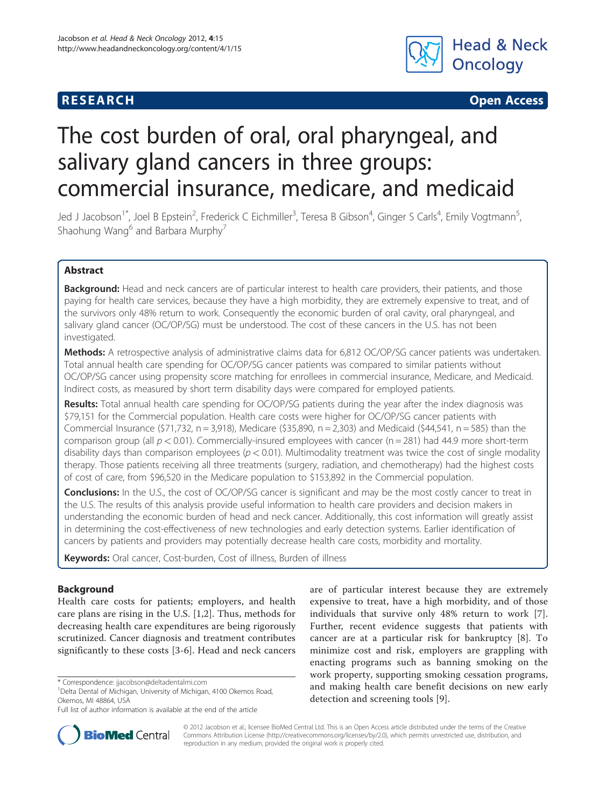# **RESEARCH CONSIDERED ACCESS**



# The cost burden of oral, oral pharyngeal, and salivary gland cancers in three groups: commercial insurance, medicare, and medicaid

Jed J Jacobson<sup>1\*</sup>, Joel B Epstein<sup>2</sup>, Frederick C Eichmiller<sup>3</sup>, Teresa B Gibson<sup>4</sup>, Ginger S Carls<sup>4</sup>, Emily Vogtmann<sup>5</sup> , Shaohung Wang<sup>6</sup> and Barbara Murphy<sup>7</sup>

# Abstract

Background: Head and neck cancers are of particular interest to health care providers, their patients, and those paying for health care services, because they have a high morbidity, they are extremely expensive to treat, and of the survivors only 48% return to work. Consequently the economic burden of oral cavity, oral pharyngeal, and salivary gland cancer (OC/OP/SG) must be understood. The cost of these cancers in the U.S. has not been investigated.

Methods: A retrospective analysis of administrative claims data for 6,812 OC/OP/SG cancer patients was undertaken. Total annual health care spending for OC/OP/SG cancer patients was compared to similar patients without OC/OP/SG cancer using propensity score matching for enrollees in commercial insurance, Medicare, and Medicaid. Indirect costs, as measured by short term disability days were compared for employed patients.

Results: Total annual health care spending for OC/OP/SG patients during the year after the index diagnosis was \$79,151 for the Commercial population. Health care costs were higher for OC/OP/SG cancer patients with Commercial Insurance (\$71,732, n = 3,918), Medicare (\$35,890, n = 2,303) and Medicaid (\$44,541, n = 585) than the comparison group (all  $p < 0.01$ ). Commercially-insured employees with cancer (n = 281) had 44.9 more short-term disability days than comparison employees ( $p < 0.01$ ). Multimodality treatment was twice the cost of single modality therapy. Those patients receiving all three treatments (surgery, radiation, and chemotherapy) had the highest costs of cost of care, from \$96,520 in the Medicare population to \$153,892 in the Commercial population.

**Conclusions:** In the U.S., the cost of OC/OP/SG cancer is significant and may be the most costly cancer to treat in the U.S. The results of this analysis provide useful information to health care providers and decision makers in understanding the economic burden of head and neck cancer. Additionally, this cost information will greatly assist in determining the cost-effectiveness of new technologies and early detection systems. Earlier identification of cancers by patients and providers may potentially decrease health care costs, morbidity and mortality.

Keywords: Oral cancer, Cost-burden, Cost of illness, Burden of illness

# Background

Health care costs for patients; employers, and health care plans are rising in the U.S. [\[1,2](#page-16-0)]. Thus, methods for decreasing health care expenditures are being rigorously scrutinized. Cancer diagnosis and treatment contributes significantly to these costs [\[3](#page-16-0)-[6\]](#page-16-0). Head and neck cancers

<sup>1</sup>Delta Dental of Michigan, University of Michigan, 4100 Okemos Road, Okemos, MI 48864, USA



**BioMed** Central

© 2012 Jacobson et al.; licensee BioMed Central Ltd. This is an Open Access article distributed under the terms of the Creative Commons Attribution License (http://creativecommons.org/licenses/by/2.0), which permits unrestricted use, distribution, and reproduction in any medium, provided the original work is properly cited.

<sup>\*</sup> Correspondence: [jjacobson@deltadentalmi.com](mailto:jjacobson@deltadentalmi.com) <sup>1</sup>

Full list of author information is available at the end of the article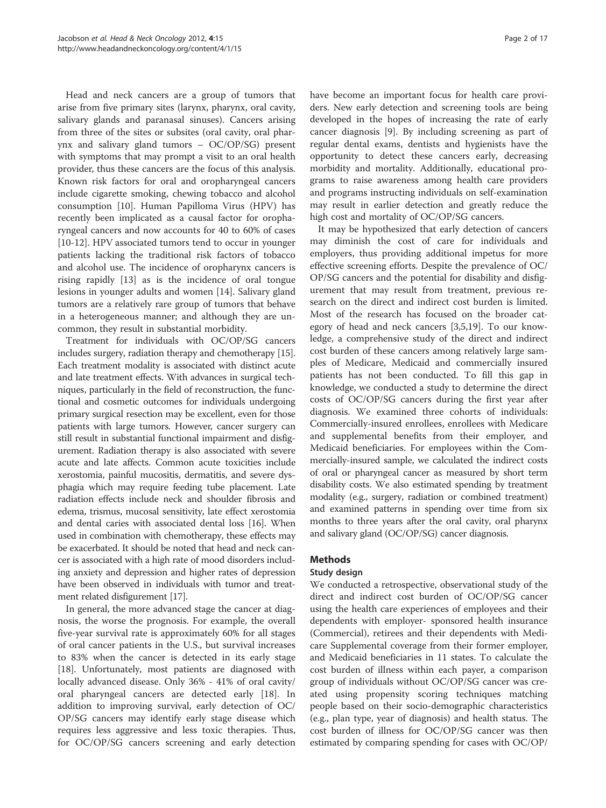Head and neck cancers are a group of tumors that arise from five primary sites (larynx, pharynx, oral cavity, salivary glands and paranasal sinuses). Cancers arising from three of the sites or subsites (oral cavity, oral pharynx and salivary gland tumors – OC/OP/SG) present with symptoms that may prompt a visit to an oral health provider, thus these cancers are the focus of this analysis. Known risk factors for oral and oropharyngeal cancers include cigarette smoking, chewing tobacco and alcohol consumption [\[10](#page-16-0)]. Human Papilloma Virus (HPV) has recently been implicated as a causal factor for oropharyngeal cancers and now accounts for 40 to 60% of cases [[10-12\]](#page-16-0). HPV associated tumors tend to occur in younger patients lacking the traditional risk factors of tobacco and alcohol use. The incidence of oropharynx cancers is rising rapidly [\[13](#page-16-0)] as is the incidence of oral tongue lesions in younger adults and women [[14\]](#page-16-0). Salivary gland tumors are a relatively rare group of tumors that behave in a heterogeneous manner; and although they are uncommon, they result in substantial morbidity.

Treatment for individuals with OC/OP/SG cancers includes surgery, radiation therapy and chemotherapy [[15](#page-16-0)]. Each treatment modality is associated with distinct acute and late treatment effects. With advances in surgical techniques, particularly in the field of reconstruction, the functional and cosmetic outcomes for individuals undergoing primary surgical resection may be excellent, even for those patients with large tumors. However, cancer surgery can still result in substantial functional impairment and disfigurement. Radiation therapy is also associated with severe acute and late affects. Common acute toxicities include xerostomia, painful mucositis, dermatitis, and severe dysphagia which may require feeding tube placement. Late radiation effects include neck and shoulder fibrosis and edema, trismus, mucosal sensitivity, late effect xerostomia and dental caries with associated dental loss [\[16\]](#page-16-0). When used in combination with chemotherapy, these effects may be exacerbated. It should be noted that head and neck cancer is associated with a high rate of mood disorders including anxiety and depression and higher rates of depression have been observed in individuals with tumor and treatment related disfigurement [[17](#page-16-0)].

In general, the more advanced stage the cancer at diagnosis, the worse the prognosis. For example, the overall five-year survival rate is approximately 60% for all stages of oral cancer patients in the U.S., but survival increases to 83% when the cancer is detected in its early stage [[18\]](#page-16-0). Unfortunately, most patients are diagnosed with locally advanced disease. Only 36% - 41% of oral cavity/ oral pharyngeal cancers are detected early [[18](#page-16-0)]. In addition to improving survival, early detection of OC/ OP/SG cancers may identify early stage disease which requires less aggressive and less toxic therapies. Thus, for OC/OP/SG cancers screening and early detection have become an important focus for health care providers. New early detection and screening tools are being developed in the hopes of increasing the rate of early cancer diagnosis [\[9\]](#page-16-0). By including screening as part of regular dental exams, dentists and hygienists have the opportunity to detect these cancers early, decreasing morbidity and mortality. Additionally, educational programs to raise awareness among health care providers and programs instructing individuals on self-examination may result in earlier detection and greatly reduce the high cost and mortality of OC/OP/SG cancers.

It may be hypothesized that early detection of cancers may diminish the cost of care for individuals and employers, thus providing additional impetus for more effective screening efforts. Despite the prevalence of OC/ OP/SG cancers and the potential for disability and disfigurement that may result from treatment, previous research on the direct and indirect cost burden is limited. Most of the research has focused on the broader category of head and neck cancers [\[3,5,19\]](#page-16-0). To our knowledge, a comprehensive study of the direct and indirect cost burden of these cancers among relatively large samples of Medicare, Medicaid and commercially insured patients has not been conducted. To fill this gap in knowledge, we conducted a study to determine the direct costs of OC/OP/SG cancers during the first year after diagnosis. We examined three cohorts of individuals: Commercially-insured enrollees, enrollees with Medicare and supplemental benefits from their employer, and Medicaid beneficiaries. For employees within the Commercially-insured sample, we calculated the indirect costs of oral or pharyngeal cancer as measured by short term disability costs. We also estimated spending by treatment modality (e.g., surgery, radiation or combined treatment) and examined patterns in spending over time from six months to three years after the oral cavity, oral pharynx and salivary gland (OC/OP/SG) cancer diagnosis.

# Methods

## Study design

We conducted a retrospective, observational study of the direct and indirect cost burden of OC/OP/SG cancer using the health care experiences of employees and their dependents with employer- sponsored health insurance (Commercial), retirees and their dependents with Medicare Supplemental coverage from their former employer, and Medicaid beneficiaries in 11 states. To calculate the cost burden of illness within each payer, a comparison group of individuals without OC/OP/SG cancer was created using propensity scoring techniques matching people based on their socio-demographic characteristics (e.g., plan type, year of diagnosis) and health status. The cost burden of illness for OC/OP/SG cancer was then estimated by comparing spending for cases with OC/OP/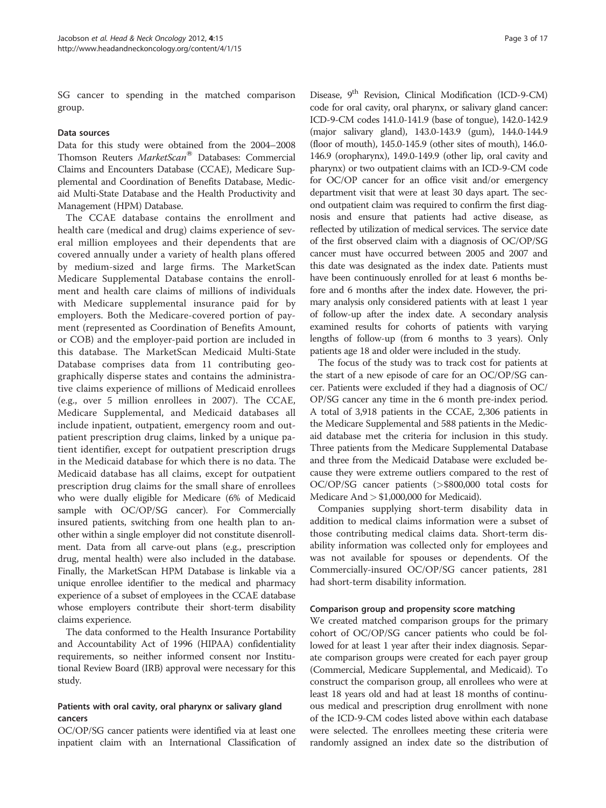SG cancer to spending in the matched comparison group.

## Data sources

Data for this study were obtained from the 2004–2008 Thomson Reuters MarketScan® Databases: Commercial Claims and Encounters Database (CCAE), Medicare Supplemental and Coordination of Benefits Database, Medicaid Multi-State Database and the Health Productivity and Management (HPM) Database.

The CCAE database contains the enrollment and health care (medical and drug) claims experience of several million employees and their dependents that are covered annually under a variety of health plans offered by medium-sized and large firms. The MarketScan Medicare Supplemental Database contains the enrollment and health care claims of millions of individuals with Medicare supplemental insurance paid for by employers. Both the Medicare-covered portion of payment (represented as Coordination of Benefits Amount, or COB) and the employer-paid portion are included in this database. The MarketScan Medicaid Multi-State Database comprises data from 11 contributing geographically disperse states and contains the administrative claims experience of millions of Medicaid enrollees (e.g., over 5 million enrollees in 2007). The CCAE, Medicare Supplemental, and Medicaid databases all include inpatient, outpatient, emergency room and outpatient prescription drug claims, linked by a unique patient identifier, except for outpatient prescription drugs in the Medicaid database for which there is no data. The Medicaid database has all claims, except for outpatient prescription drug claims for the small share of enrollees who were dually eligible for Medicare (6% of Medicaid sample with OC/OP/SG cancer). For Commercially insured patients, switching from one health plan to another within a single employer did not constitute disenrollment. Data from all carve-out plans (e.g., prescription drug, mental health) were also included in the database. Finally, the MarketScan HPM Database is linkable via a unique enrollee identifier to the medical and pharmacy experience of a subset of employees in the CCAE database whose employers contribute their short-term disability claims experience.

The data conformed to the Health Insurance Portability and Accountability Act of 1996 (HIPAA) confidentiality requirements, so neither informed consent nor Institutional Review Board (IRB) approval were necessary for this study.

## Patients with oral cavity, oral pharynx or salivary gland cancers

OC/OP/SG cancer patients were identified via at least one inpatient claim with an International Classification of Disease, 9<sup>th</sup> Revision, Clinical Modification (ICD-9-CM) code for oral cavity, oral pharynx, or salivary gland cancer: ICD-9-CM codes 141.0-141.9 (base of tongue), 142.0-142.9 (major salivary gland), 143.0-143.9 (gum), 144.0-144.9 (floor of mouth), 145.0-145.9 (other sites of mouth), 146.0- 146.9 (oropharynx), 149.0-149.9 (other lip, oral cavity and pharynx) or two outpatient claims with an ICD-9-CM code for OC/OP cancer for an office visit and/or emergency department visit that were at least 30 days apart. The second outpatient claim was required to confirm the first diagnosis and ensure that patients had active disease, as reflected by utilization of medical services. The service date of the first observed claim with a diagnosis of OC/OP/SG cancer must have occurred between 2005 and 2007 and this date was designated as the index date. Patients must have been continuously enrolled for at least 6 months before and 6 months after the index date. However, the primary analysis only considered patients with at least 1 year of follow-up after the index date. A secondary analysis examined results for cohorts of patients with varying lengths of follow-up (from 6 months to 3 years). Only patients age 18 and older were included in the study.

The focus of the study was to track cost for patients at the start of a new episode of care for an OC/OP/SG cancer. Patients were excluded if they had a diagnosis of OC/ OP/SG cancer any time in the 6 month pre-index period. A total of 3,918 patients in the CCAE, 2,306 patients in the Medicare Supplemental and 588 patients in the Medicaid database met the criteria for inclusion in this study. Three patients from the Medicare Supplemental Database and three from the Medicaid Database were excluded because they were extreme outliers compared to the rest of OC/OP/SG cancer patients (>\$800,000 total costs for Medicare And > \$1,000,000 for Medicaid).

Companies supplying short-term disability data in addition to medical claims information were a subset of those contributing medical claims data. Short-term disability information was collected only for employees and was not available for spouses or dependents. Of the Commercially-insured OC/OP/SG cancer patients, 281 had short-term disability information.

## Comparison group and propensity score matching

We created matched comparison groups for the primary cohort of OC/OP/SG cancer patients who could be followed for at least 1 year after their index diagnosis. Separate comparison groups were created for each payer group (Commercial, Medicare Supplemental, and Medicaid). To construct the comparison group, all enrollees who were at least 18 years old and had at least 18 months of continuous medical and prescription drug enrollment with none of the ICD-9-CM codes listed above within each database were selected. The enrollees meeting these criteria were randomly assigned an index date so the distribution of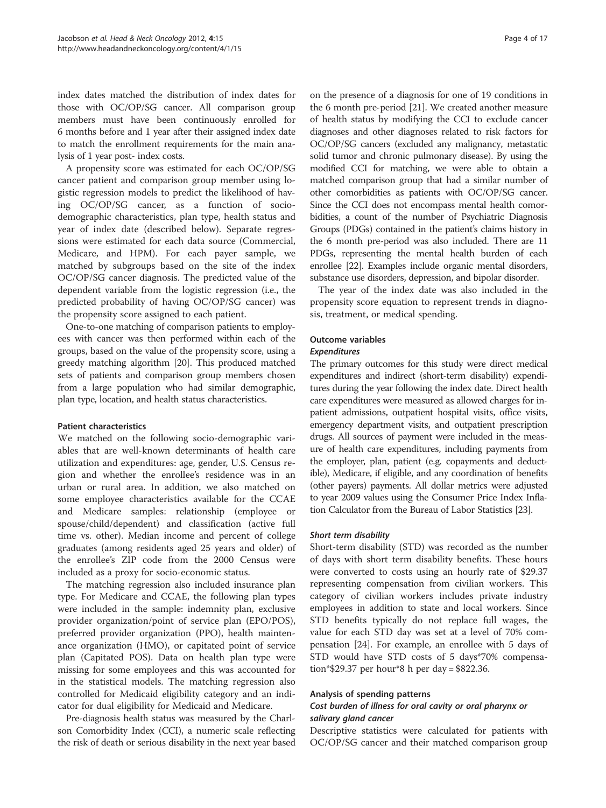index dates matched the distribution of index dates for those with OC/OP/SG cancer. All comparison group members must have been continuously enrolled for 6 months before and 1 year after their assigned index date to match the enrollment requirements for the main analysis of 1 year post- index costs.

A propensity score was estimated for each OC/OP/SG cancer patient and comparison group member using logistic regression models to predict the likelihood of having OC/OP/SG cancer, as a function of sociodemographic characteristics, plan type, health status and year of index date (described below). Separate regressions were estimated for each data source (Commercial, Medicare, and HPM). For each payer sample, we matched by subgroups based on the site of the index OC/OP/SG cancer diagnosis. The predicted value of the dependent variable from the logistic regression (i.e., the predicted probability of having OC/OP/SG cancer) was the propensity score assigned to each patient.

One-to-one matching of comparison patients to employees with cancer was then performed within each of the groups, based on the value of the propensity score, using a greedy matching algorithm [\[20\]](#page-16-0). This produced matched sets of patients and comparison group members chosen from a large population who had similar demographic, plan type, location, and health status characteristics.

## Patient characteristics

We matched on the following socio-demographic variables that are well-known determinants of health care utilization and expenditures: age, gender, U.S. Census region and whether the enrollee's residence was in an urban or rural area. In addition, we also matched on some employee characteristics available for the CCAE and Medicare samples: relationship (employee or spouse/child/dependent) and classification (active full time vs. other). Median income and percent of college graduates (among residents aged 25 years and older) of the enrollee's ZIP code from the 2000 Census were included as a proxy for socio-economic status.

The matching regression also included insurance plan type. For Medicare and CCAE, the following plan types were included in the sample: indemnity plan, exclusive provider organization/point of service plan (EPO/POS), preferred provider organization (PPO), health maintenance organization (HMO), or capitated point of service plan (Capitated POS). Data on health plan type were missing for some employees and this was accounted for in the statistical models. The matching regression also controlled for Medicaid eligibility category and an indicator for dual eligibility for Medicaid and Medicare.

Pre-diagnosis health status was measured by the Charlson Comorbidity Index (CCI), a numeric scale reflecting the risk of death or serious disability in the next year based on the presence of a diagnosis for one of 19 conditions in the 6 month pre-period [\[21\]](#page-16-0). We created another measure of health status by modifying the CCI to exclude cancer diagnoses and other diagnoses related to risk factors for OC/OP/SG cancers (excluded any malignancy, metastatic solid tumor and chronic pulmonary disease). By using the modified CCI for matching, we were able to obtain a matched comparison group that had a similar number of other comorbidities as patients with OC/OP/SG cancer. Since the CCI does not encompass mental health comorbidities, a count of the number of Psychiatric Diagnosis Groups (PDGs) contained in the patient's claims history in the 6 month pre-period was also included. There are 11 PDGs, representing the mental health burden of each enrollee [\[22](#page-16-0)]. Examples include organic mental disorders, substance use disorders, depression, and bipolar disorder.

The year of the index date was also included in the propensity score equation to represent trends in diagnosis, treatment, or medical spending.

## Outcome variables

## Expenditures

The primary outcomes for this study were direct medical expenditures and indirect (short-term disability) expenditures during the year following the index date. Direct health care expenditures were measured as allowed charges for inpatient admissions, outpatient hospital visits, office visits, emergency department visits, and outpatient prescription drugs. All sources of payment were included in the measure of health care expenditures, including payments from the employer, plan, patient (e.g. copayments and deductible), Medicare, if eligible, and any coordination of benefits (other payers) payments. All dollar metrics were adjusted to year 2009 values using the Consumer Price Index Inflation Calculator from the Bureau of Labor Statistics [\[23\]](#page-16-0).

## Short term disability

Short-term disability (STD) was recorded as the number of days with short term disability benefits. These hours were converted to costs using an hourly rate of \$29.37 representing compensation from civilian workers. This category of civilian workers includes private industry employees in addition to state and local workers. Since STD benefits typically do not replace full wages, the value for each STD day was set at a level of 70% compensation [\[24\]](#page-16-0). For example, an enrollee with 5 days of STD would have STD costs of 5 days\*70% compensation\*\$29.37 per hour\*8 h per day = \$822.36.

## Analysis of spending patterns

# Cost burden of illness for oral cavity or oral pharynx or salivary gland cancer

Descriptive statistics were calculated for patients with OC/OP/SG cancer and their matched comparison group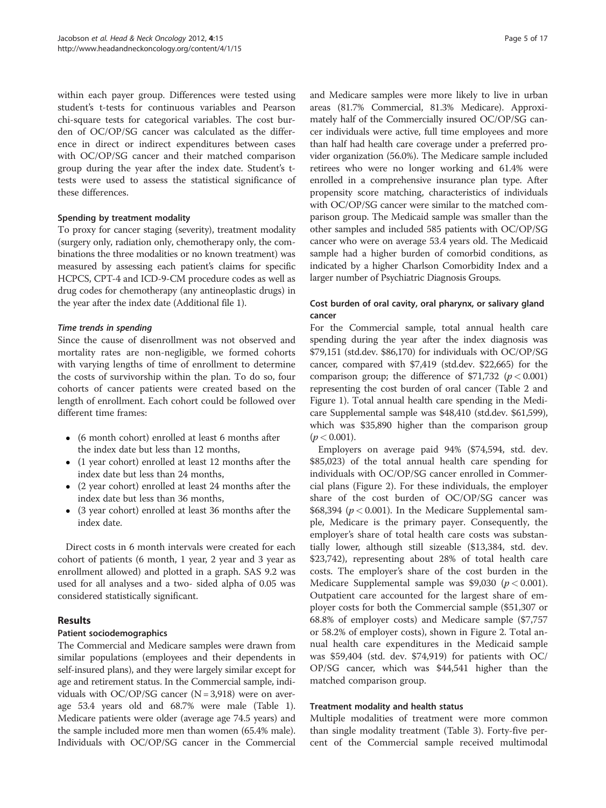within each payer group. Differences were tested using student's t-tests for continuous variables and Pearson chi-square tests for categorical variables. The cost burden of OC/OP/SG cancer was calculated as the difference in direct or indirect expenditures between cases with OC/OP/SG cancer and their matched comparison group during the year after the index date. Student's ttests were used to assess the statistical significance of these differences.

## Spending by treatment modality

To proxy for cancer staging (severity), treatment modality (surgery only, radiation only, chemotherapy only, the combinations the three modalities or no known treatment) was measured by assessing each patient's claims for specific HCPCS, CPT-4 and ICD-9-CM procedure codes as well as drug codes for chemotherapy (any antineoplastic drugs) in the year after the index date (Additional file [1](#page-15-0)).

## Time trends in spending

Since the cause of disenrollment was not observed and mortality rates are non-negligible, we formed cohorts with varying lengths of time of enrollment to determine the costs of survivorship within the plan. To do so, four cohorts of cancer patients were created based on the length of enrollment. Each cohort could be followed over different time frames:

- (6 month cohort) enrolled at least 6 months after the index date but less than 12 months,
- (1 year cohort) enrolled at least 12 months after the index date but less than 24 months,
- (2 year cohort) enrolled at least 24 months after the index date but less than 36 months,
- (3 year cohort) enrolled at least 36 months after the index date.

Direct costs in 6 month intervals were created for each cohort of patients (6 month, 1 year, 2 year and 3 year as enrollment allowed) and plotted in a graph. SAS 9.2 was used for all analyses and a two- sided alpha of 0.05 was considered statistically significant.

## Results

## Patient sociodemographics

The Commercial and Medicare samples were drawn from similar populations (employees and their dependents in self-insured plans), and they were largely similar except for age and retirement status. In the Commercial sample, individuals with  $OC/OP/SG$  cancer  $(N = 3,918)$  were on average 53.4 years old and 68.7% were male (Table [1](#page-5-0)). Medicare patients were older (average age 74.5 years) and the sample included more men than women (65.4% male). Individuals with OC/OP/SG cancer in the Commercial

and Medicare samples were more likely to live in urban areas (81.7% Commercial, 81.3% Medicare). Approximately half of the Commercially insured OC/OP/SG cancer individuals were active, full time employees and more than half had health care coverage under a preferred provider organization (56.0%). The Medicare sample included retirees who were no longer working and 61.4% were enrolled in a comprehensive insurance plan type. After propensity score matching, characteristics of individuals with OC/OP/SG cancer were similar to the matched comparison group. The Medicaid sample was smaller than the other samples and included 585 patients with OC/OP/SG cancer who were on average 53.4 years old. The Medicaid sample had a higher burden of comorbid conditions, as indicated by a higher Charlson Comorbidity Index and a larger number of Psychiatric Diagnosis Groups.

## Cost burden of oral cavity, oral pharynx, or salivary gland cancer

For the Commercial sample, total annual health care spending during the year after the index diagnosis was \$79,151 (std.dev. \$86,170) for individuals with OC/OP/SG cancer, compared with \$7,419 (std.dev. \$22,665) for the comparison group; the difference of  $$71,732$  ( $p < 0.001$ ) representing the cost burden of oral cancer (Table [2](#page-7-0) and Figure [1\)](#page-8-0). Total annual health care spending in the Medicare Supplemental sample was \$48,410 (std.dev. \$61,599), which was \$35,890 higher than the comparison group  $(p < 0.001)$ .

Employers on average paid 94% (\$74,594, std. dev. \$85,023) of the total annual health care spending for individuals with OC/OP/SG cancer enrolled in Commercial plans (Figure [2](#page-8-0)). For these individuals, the employer share of the cost burden of OC/OP/SG cancer was \$68,394 ( $p < 0.001$ ). In the Medicare Supplemental sample, Medicare is the primary payer. Consequently, the employer's share of total health care costs was substantially lower, although still sizeable (\$13,384, std. dev. \$23,742), representing about 28% of total health care costs. The employer's share of the cost burden in the Medicare Supplemental sample was \$9,030 ( $p < 0.001$ ). Outpatient care accounted for the largest share of employer costs for both the Commercial sample (\$51,307 or 68.8% of employer costs) and Medicare sample (\$7,757 or 58.2% of employer costs), shown in Figure [2.](#page-8-0) Total annual health care expenditures in the Medicaid sample was \$59,404 (std. dev. \$74,919) for patients with OC/ OP/SG cancer, which was \$44,541 higher than the matched comparison group.

## Treatment modality and health status

Multiple modalities of treatment were more common than single modality treatment (Table [3](#page-9-0)). Forty-five percent of the Commercial sample received multimodal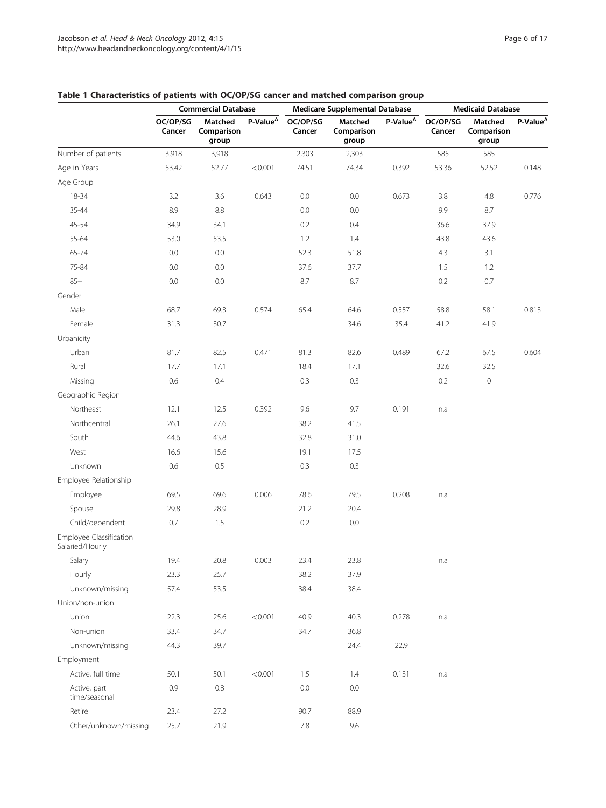|                                            |                    | <b>Commercial Database</b>     |                      |                    | <b>Medicare Supplemental Database</b> |                      | <b>Medicaid Database</b> |                                |                      |
|--------------------------------------------|--------------------|--------------------------------|----------------------|--------------------|---------------------------------------|----------------------|--------------------------|--------------------------------|----------------------|
|                                            | OC/OP/SG<br>Cancer | Matched<br>Comparison<br>group | P-Value <sup>A</sup> | OC/OP/SG<br>Cancer | Matched<br>Comparison<br>group        | P-Value <sup>A</sup> | OC/OP/SG<br>Cancer       | Matched<br>Comparison<br>group | P-Value <sup>A</sup> |
| Number of patients                         | 3,918              | 3,918                          |                      | 2,303              | 2,303                                 |                      | 585                      | 585                            |                      |
| Age in Years                               | 53.42              | 52.77                          | < 0.001              | 74.51              | 74.34                                 | 0.392                | 53.36                    | 52.52                          | 0.148                |
| Age Group                                  |                    |                                |                      |                    |                                       |                      |                          |                                |                      |
| 18-34                                      | 3.2                | 3.6                            | 0.643                | 0.0                | 0.0                                   | 0.673                | 3.8                      | 4.8                            | 0.776                |
| 35-44                                      | 8.9                | $8.8\,$                        |                      | $0.0\,$            | 0.0                                   |                      | 9.9                      | 8.7                            |                      |
| 45-54                                      | 34.9               | 34.1                           |                      | 0.2                | 0.4                                   |                      | 36.6                     | 37.9                           |                      |
| 55-64                                      | 53.0               | 53.5                           |                      | 1.2                | 1.4                                   |                      | 43.8                     | 43.6                           |                      |
| 65-74                                      | 0.0                | $0.0\,$                        |                      | 52.3               | 51.8                                  |                      | 4.3                      | 3.1                            |                      |
| 75-84                                      | 0.0                | 0.0                            |                      | 37.6               | 37.7                                  |                      | 1.5                      | 1.2                            |                      |
| $85+$                                      | $0.0\,$            | $0.0\,$                        |                      | 8.7                | 8.7                                   |                      | 0.2                      | 0.7                            |                      |
| Gender                                     |                    |                                |                      |                    |                                       |                      |                          |                                |                      |
| Male                                       | 68.7               | 69.3                           | 0.574                | 65.4               | 64.6                                  | 0.557                | 58.8                     | 58.1                           | 0.813                |
| Female                                     | 31.3               | 30.7                           |                      |                    | 34.6                                  | 35.4                 | 41.2                     | 41.9                           |                      |
| Urbanicity                                 |                    |                                |                      |                    |                                       |                      |                          |                                |                      |
| Urban                                      | 81.7               | 82.5                           | 0.471                | 81.3               | 82.6                                  | 0.489                | 67.2                     | 67.5                           | 0.604                |
| Rural                                      | 17.7               | 17.1                           |                      | 18.4               | 17.1                                  |                      | 32.6                     | 32.5                           |                      |
| Missing                                    | 0.6                | 0.4                            |                      | 0.3                | 0.3                                   |                      | 0.2                      | $\mathsf{O}\xspace$            |                      |
| Geographic Region                          |                    |                                |                      |                    |                                       |                      |                          |                                |                      |
| Northeast                                  | 12.1               | 12.5                           | 0.392                | 9.6                | 9.7                                   | 0.191                | n.a                      |                                |                      |
| Northcentral                               | 26.1               | 27.6                           |                      | 38.2               | 41.5                                  |                      |                          |                                |                      |
| South                                      | 44.6               | 43.8                           |                      | 32.8               | 31.0                                  |                      |                          |                                |                      |
| West                                       | 16.6               | 15.6                           |                      | 19.1               | 17.5                                  |                      |                          |                                |                      |
| Unknown                                    | 0.6                | $0.5\,$                        |                      | 0.3                | 0.3                                   |                      |                          |                                |                      |
| Employee Relationship                      |                    |                                |                      |                    |                                       |                      |                          |                                |                      |
| Employee                                   | 69.5               | 69.6                           | 0.006                | 78.6               | 79.5                                  | 0.208                | n.a                      |                                |                      |
| Spouse                                     | 29.8               | 28.9                           |                      | 21.2               | 20.4                                  |                      |                          |                                |                      |
| Child/dependent                            | 0.7                | 1.5                            |                      | 0.2                | $0.0\,$                               |                      |                          |                                |                      |
| Employee Classification<br>Salaried/Hourly |                    |                                |                      |                    |                                       |                      |                          |                                |                      |
| Salary                                     | 19.4               | $20.8\,$                       | 0.003                | 23.4               | 23.8                                  |                      | n.a                      |                                |                      |
| Hourly                                     | 23.3               | 25.7                           |                      | 38.2               | 37.9                                  |                      |                          |                                |                      |
| Unknown/missing                            | 57.4               | 53.5                           |                      | 38.4               | 38.4                                  |                      |                          |                                |                      |
| Union/non-union                            |                    |                                |                      |                    |                                       |                      |                          |                                |                      |
| Union                                      | 22.3               | 25.6                           | < 0.001              | 40.9               | 40.3                                  | 0.278                | n.a                      |                                |                      |
| Non-union                                  | 33.4               | 34.7                           |                      | 34.7               | 36.8                                  |                      |                          |                                |                      |
| Unknown/missing                            | 44.3               | 39.7                           |                      |                    | 24.4                                  | 22.9                 |                          |                                |                      |
| Employment                                 |                    |                                |                      |                    |                                       |                      |                          |                                |                      |
| Active, full time                          | 50.1               | 50.1                           | < 0.001              | 1.5                | 1.4                                   | 0.131                | n.a                      |                                |                      |
| Active, part<br>time/seasonal              | 0.9                | 0.8                            |                      | 0.0                | 0.0                                   |                      |                          |                                |                      |
| Retire                                     | 23.4               | 27.2                           |                      | 90.7               | 88.9                                  |                      |                          |                                |                      |
| Other/unknown/missing                      | 25.7               | 21.9                           |                      | 7.8                | 9.6                                   |                      |                          |                                |                      |

# <span id="page-5-0"></span>Table 1 Characteristics of patients with OC/OP/SG cancer and matched comparison group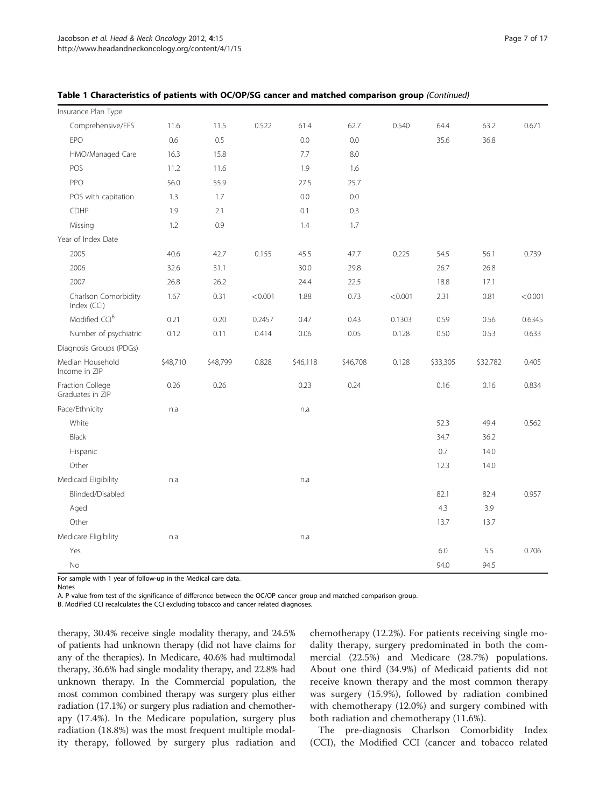| Insurance Plan Type                  |          |          |         |          |          |         |          |          |         |
|--------------------------------------|----------|----------|---------|----------|----------|---------|----------|----------|---------|
| Comprehensive/FFS                    | 11.6     | 11.5     | 0.522   | 61.4     | 62.7     | 0.540   | 64.4     | 63.2     | 0.671   |
| EPO                                  | 0.6      | 0.5      |         | 0.0      | 0.0      |         | 35.6     | 36.8     |         |
| HMO/Managed Care                     | 16.3     | 15.8     |         | 7.7      | 8.0      |         |          |          |         |
| POS                                  | 11.2     | 11.6     |         | 1.9      | 1.6      |         |          |          |         |
| PPO                                  | 56.0     | 55.9     |         | 27.5     | 25.7     |         |          |          |         |
| POS with capitation                  | 1.3      | 1.7      |         | 0.0      | 0.0      |         |          |          |         |
| CDHP                                 | 1.9      | 2.1      |         | 0.1      | 0.3      |         |          |          |         |
| Missing                              | 1.2      | 0.9      |         | 1.4      | 1.7      |         |          |          |         |
| Year of Index Date                   |          |          |         |          |          |         |          |          |         |
| 2005                                 | 40.6     | 42.7     | 0.155   | 45.5     | 47.7     | 0.225   | 54.5     | 56.1     | 0.739   |
| 2006                                 | 32.6     | 31.1     |         | 30.0     | 29.8     |         | 26.7     | 26.8     |         |
| 2007                                 | 26.8     | 26.2     |         | 24.4     | 22.5     |         | 18.8     | 17.1     |         |
| Charlson Comorbidity<br>Index (CCI)  | 1.67     | 0.31     | < 0.001 | 1.88     | 0.73     | < 0.001 | 2.31     | 0.81     | < 0.001 |
| Modified CCI <sup>B</sup>            | 0.21     | 0.20     | 0.2457  | 0.47     | 0.43     | 0.1303  | 0.59     | 0.56     | 0.6345  |
| Number of psychiatric                | 0.12     | 0.11     | 0.414   | 0.06     | 0.05     | 0.128   | 0.50     | 0.53     | 0.633   |
| Diagnosis Groups (PDGs)              |          |          |         |          |          |         |          |          |         |
| Median Household<br>Income in ZIP    | \$48,710 | \$48,799 | 0.828   | \$46,118 | \$46,708 | 0.128   | \$33,305 | \$32,782 | 0.405   |
| Fraction College<br>Graduates in ZIP | 0.26     | 0.26     |         | 0.23     | 0.24     |         | 0.16     | 0.16     | 0.834   |
| Race/Ethnicity                       | n.a      |          |         | n.a      |          |         |          |          |         |
| White                                |          |          |         |          |          |         | 52.3     | 49.4     | 0.562   |
| Black                                |          |          |         |          |          |         | 34.7     | 36.2     |         |
| Hispanic                             |          |          |         |          |          |         | 0.7      | 14.0     |         |
| Other                                |          |          |         |          |          |         | 12.3     | 14.0     |         |
| Medicaid Eligibility                 | n.a      |          |         | n.a      |          |         |          |          |         |
| Blinded/Disabled                     |          |          |         |          |          |         | 82.1     | 82.4     | 0.957   |
| Aged                                 |          |          |         |          |          |         | 4.3      | 3.9      |         |
| Other                                |          |          |         |          |          |         | 13.7     | 13.7     |         |
| Medicare Eligibility                 | n.a      |          |         | n.a      |          |         |          |          |         |
| Yes                                  |          |          |         |          |          |         | 6.0      | 5.5      | 0.706   |
| No                                   |          |          |         |          |          |         | 94.0     | 94.5     |         |

Table 1 Characteristics of patients with OC/OP/SG cancer and matched comparison group (Continued)

For sample with 1 year of follow-up in the Medical care data. Notes

A. P-value from test of the significance of difference between the OC/OP cancer group and matched comparison group.

B. Modified CCI recalculates the CCI excluding tobacco and cancer related diagnoses.

therapy, 30.4% receive single modality therapy, and 24.5% of patients had unknown therapy (did not have claims for any of the therapies). In Medicare, 40.6% had multimodal therapy, 36.6% had single modality therapy, and 22.8% had unknown therapy. In the Commercial population, the most common combined therapy was surgery plus either radiation (17.1%) or surgery plus radiation and chemotherapy (17.4%). In the Medicare population, surgery plus radiation (18.8%) was the most frequent multiple modality therapy, followed by surgery plus radiation and chemotherapy (12.2%). For patients receiving single modality therapy, surgery predominated in both the commercial (22.5%) and Medicare (28.7%) populations. About one third (34.9%) of Medicaid patients did not receive known therapy and the most common therapy was surgery (15.9%), followed by radiation combined with chemotherapy (12.0%) and surgery combined with both radiation and chemotherapy (11.6%).

The pre-diagnosis Charlson Comorbidity Index (CCI), the Modified CCI (cancer and tobacco related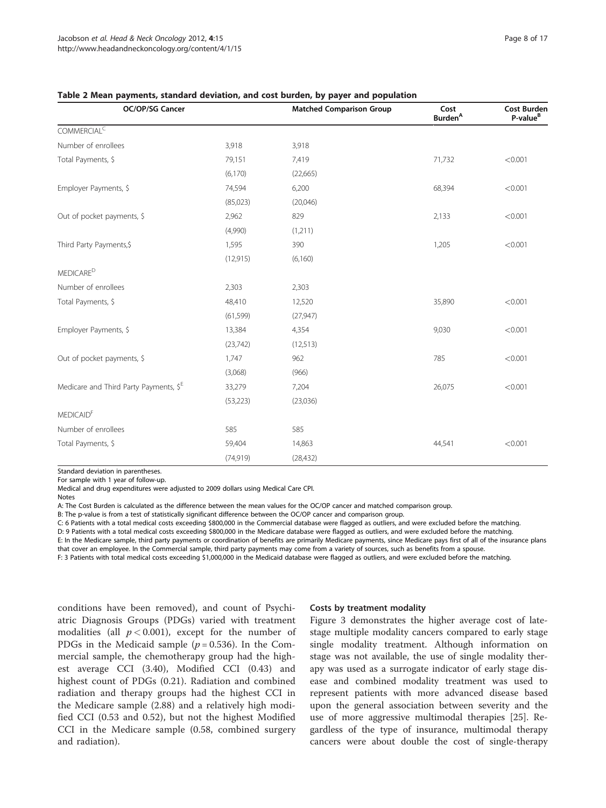| OC/OP/SG Cancer                        |           | <b>Matched Comparison Group</b> | Cost<br>Burden <sup>A</sup> | Cost Burden<br>P-value <sup>B</sup> |
|----------------------------------------|-----------|---------------------------------|-----------------------------|-------------------------------------|
| <b>COMMERCIAL<sup>C</sup></b>          |           |                                 |                             |                                     |
| Number of enrollees                    | 3,918     | 3,918                           |                             |                                     |
| Total Payments, \$                     | 79,151    | 7,419                           | 71,732                      | < 0.001                             |
|                                        | (6,170)   | (22,665)                        |                             |                                     |
| Employer Payments, \$                  | 74,594    | 6,200                           | 68,394                      | < 0.001                             |
|                                        | (85,023)  | (20,046)                        |                             |                                     |
| Out of pocket payments, \$             | 2,962     | 829                             | 2,133                       | < 0.001                             |
|                                        | (4,990)   | (1,211)                         |                             |                                     |
| Third Party Payments,\$                | 1,595     | 390                             | 1,205                       | < 0.001                             |
|                                        | (12, 915) | (6,160)                         |                             |                                     |
| <b>MEDICARE</b> <sup>D</sup>           |           |                                 |                             |                                     |
| Number of enrollees                    | 2,303     | 2,303                           |                             |                                     |
| Total Payments, \$                     | 48,410    | 12,520                          | 35,890                      | < 0.001                             |
|                                        | (61, 599) | (27, 947)                       |                             |                                     |
| Employer Payments, \$                  | 13,384    | 4,354                           | 9,030                       | < 0.001                             |
|                                        | (23, 742) | (12,513)                        |                             |                                     |
| Out of pocket payments, \$             | 1,747     | 962                             | 785                         | < 0.001                             |
|                                        | (3,068)   | (966)                           |                             |                                     |
| Medicare and Third Party Payments, \$E | 33,279    | 7,204                           | 26,075                      | < 0.001                             |
|                                        | (53, 223) | (23,036)                        |                             |                                     |
| <b>MEDICAID<sup>F</sup></b>            |           |                                 |                             |                                     |
| Number of enrollees                    | 585       | 585                             |                             |                                     |
| Total Payments, \$                     | 59,404    | 14,863                          | 44,541                      | < 0.001                             |
|                                        | (74, 919) | (28, 432)                       |                             |                                     |

## <span id="page-7-0"></span>Table 2 Mean payments, standard deviation, and cost burden, by payer and population

Standard deviation in parentheses.

For sample with 1 year of follow-up.

Medical and drug expenditures were adjusted to 2009 dollars using Medical Care CPI.

Notes

A: The Cost Burden is calculated as the difference between the mean values for the OC/OP cancer and matched comparison group.

B: The p-value is from a test of statistically significant difference between the OC/OP cancer and comparison group.

C: 6 Patients with a total medical costs exceeding \$800,000 in the Commercial database were flagged as outliers, and were excluded before the matching.

D: 9 Patients with a total medical costs exceeding \$800,000 in the Medicare database were flagged as outliers, and were excluded before the matching.

E: In the Medicare sample, third party payments or coordination of benefits are primarily Medicare payments, since Medicare pays first of all of the insurance plans that cover an employee. In the Commercial sample, third party payments may come from a variety of sources, such as benefits from a spouse.

F: 3 Patients with total medical costs exceeding \$1,000,000 in the Medicaid database were flagged as outliers, and were excluded before the matching.

conditions have been removed), and count of Psychiatric Diagnosis Groups (PDGs) varied with treatment modalities (all  $p < 0.001$ ), except for the number of PDGs in the Medicaid sample ( $p = 0.536$ ). In the Commercial sample, the chemotherapy group had the highest average CCI (3.40), Modified CCI (0.43) and highest count of PDGs (0.21). Radiation and combined radiation and therapy groups had the highest CCI in the Medicare sample (2.88) and a relatively high modified CCI (0.53 and 0.52), but not the highest Modified CCI in the Medicare sample (0.58, combined surgery and radiation).

## Costs by treatment modality

Figure [3](#page-10-0) demonstrates the higher average cost of latestage multiple modality cancers compared to early stage single modality treatment. Although information on stage was not available, the use of single modality therapy was used as a surrogate indicator of early stage disease and combined modality treatment was used to represent patients with more advanced disease based upon the general association between severity and the use of more aggressive multimodal therapies [[25](#page-16-0)]. Regardless of the type of insurance, multimodal therapy cancers were about double the cost of single-therapy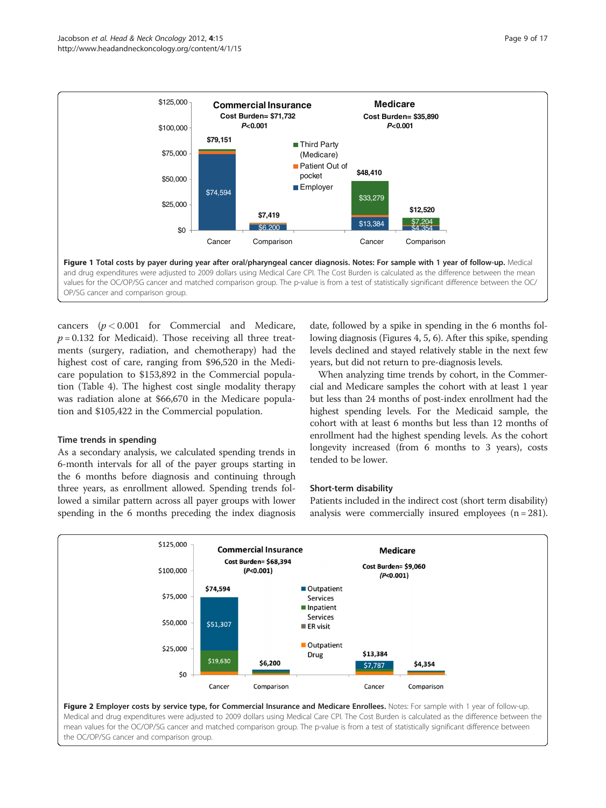<span id="page-8-0"></span>

cancers  $(p < 0.001$  for Commercial and Medicare,  $p = 0.132$  for Medicaid). Those receiving all three treatments (surgery, radiation, and chemotherapy) had the highest cost of care, ranging from \$96,520 in the Medicare population to \$153,892 in the Commercial population (Table [4\)](#page-11-0). The highest cost single modality therapy was radiation alone at \$66,670 in the Medicare population and \$105,422 in the Commercial population.

## Time trends in spending

As a secondary analysis, we calculated spending trends in 6-month intervals for all of the payer groups starting in the 6 months before diagnosis and continuing through three years, as enrollment allowed. Spending trends followed a similar pattern across all payer groups with lower spending in the 6 months preceding the index diagnosis

date, followed by a spike in spending in the 6 months following diagnosis (Figures [4, 5](#page-13-0), [6](#page-14-0)). After this spike, spending levels declined and stayed relatively stable in the next few years, but did not return to pre-diagnosis levels.

When analyzing time trends by cohort, in the Commercial and Medicare samples the cohort with at least 1 year but less than 24 months of post-index enrollment had the highest spending levels. For the Medicaid sample, the cohort with at least 6 months but less than 12 months of enrollment had the highest spending levels. As the cohort longevity increased (from 6 months to 3 years), costs tended to be lower.

## Short-term disability

Patients included in the indirect cost (short term disability) analysis were commercially insured employees  $(n = 281)$ .



Figure 2 Employer costs by service type, for Commercial Insurance and Medicare Enrollees. Notes: For sample with 1 year of follow-up. Medical and drug expenditures were adjusted to 2009 dollars using Medical Care CPI. The Cost Burden is calculated as the difference between the mean values for the OC/OP/SG cancer and matched comparison group. The p-value is from a test of statistically significant difference between the OC/OP/SG cancer and comparison group.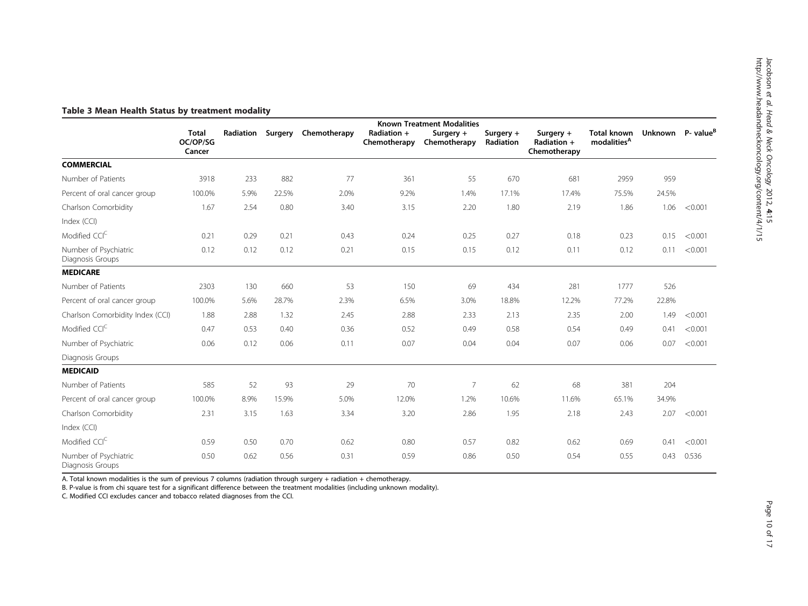|                                           |                                    | <b>Known Treatment Modalities</b> |       |                                |                               |                           |                        |                                          |                                               |                               |         |
|-------------------------------------------|------------------------------------|-----------------------------------|-------|--------------------------------|-------------------------------|---------------------------|------------------------|------------------------------------------|-----------------------------------------------|-------------------------------|---------|
|                                           | <b>Total</b><br>OC/OP/SG<br>Cancer |                                   |       | Radiation Surgery Chemotherapy | Radiation $+$<br>Chemotherapy | Surgery +<br>Chemotherapy | Surgery +<br>Radiation | Surgery +<br>Radiation +<br>Chemotherapy | <b>Total known</b><br>modalities <sup>A</sup> | Unknown P- value <sup>B</sup> |         |
| <b>COMMERCIAL</b>                         |                                    |                                   |       |                                |                               |                           |                        |                                          |                                               |                               |         |
| Number of Patients                        | 3918                               | 233                               | 882   | 77                             | 361                           | 55                        | 670                    | 681                                      | 2959                                          | 959                           |         |
| Percent of oral cancer group              | 100.0%                             | 5.9%                              | 22.5% | 2.0%                           | 9.2%                          | 1.4%                      | 17.1%                  | 17.4%                                    | 75.5%                                         | 24.5%                         |         |
| Charlson Comorbidity                      | 1.67                               | 2.54                              | 0.80  | 3.40                           | 3.15                          | 2.20                      | 1.80                   | 2.19                                     | 1.86                                          | 1.06                          | < 0.001 |
| Index (CCI)                               |                                    |                                   |       |                                |                               |                           |                        |                                          |                                               |                               |         |
| Modified CCI <sup>C</sup>                 | 0.21                               | 0.29                              | 0.21  | 0.43                           | 0.24                          | 0.25                      | 0.27                   | 0.18                                     | 0.23                                          | 0.15                          | < 0.001 |
| Number of Psychiatric<br>Diagnosis Groups | 0.12                               | 0.12                              | 0.12  | 0.21                           | 0.15                          | 0.15                      | 0.12                   | 0.11                                     | 0.12                                          | 0.11                          | < 0.001 |
| <b>MEDICARE</b>                           |                                    |                                   |       |                                |                               |                           |                        |                                          |                                               |                               |         |
| Number of Patients                        | 2303                               | 130                               | 660   | 53                             | 150                           | 69                        | 434                    | 281                                      | 1777                                          | 526                           |         |
| Percent of oral cancer group              | 100.0%                             | 5.6%                              | 28.7% | 2.3%                           | 6.5%                          | 3.0%                      | 18.8%                  | 12.2%                                    | 77.2%                                         | 22.8%                         |         |
| Charlson Comorbidity Index (CCI)          | 1.88                               | 2.88                              | 1.32  | 2.45                           | 2.88                          | 2.33                      | 2.13                   | 2.35                                     | 2.00                                          | 1.49                          | < 0.001 |
| Modified CCIC                             | 0.47                               | 0.53                              | 0.40  | 0.36                           | 0.52                          | 0.49                      | 0.58                   | 0.54                                     | 0.49                                          | 0.41                          | < 0.001 |
| Number of Psychiatric                     | 0.06                               | 0.12                              | 0.06  | 0.11                           | 0.07                          | 0.04                      | 0.04                   | 0.07                                     | 0.06                                          | 0.07                          | < 0.001 |
| Diagnosis Groups                          |                                    |                                   |       |                                |                               |                           |                        |                                          |                                               |                               |         |
| <b>MEDICAID</b>                           |                                    |                                   |       |                                |                               |                           |                        |                                          |                                               |                               |         |
| Number of Patients                        | 585                                | 52                                | 93    | 29                             | 70                            | $\overline{7}$            | 62                     | 68                                       | 381                                           | 204                           |         |
| Percent of oral cancer group              | 100.0%                             | 8.9%                              | 15.9% | 5.0%                           | 12.0%                         | 1.2%                      | 10.6%                  | 11.6%                                    | 65.1%                                         | 34.9%                         |         |
| Charlson Comorbidity                      | 2.31                               | 3.15                              | 1.63  | 3.34                           | 3.20                          | 2.86                      | 1.95                   | 2.18                                     | 2.43                                          | 2.07                          | < 0.001 |
| Index (CCI)                               |                                    |                                   |       |                                |                               |                           |                        |                                          |                                               |                               |         |
| Modified CCI <sup>C</sup>                 | 0.59                               | 0.50                              | 0.70  | 0.62                           | 0.80                          | 0.57                      | 0.82                   | 0.62                                     | 0.69                                          | 0.41                          | < 0.001 |
| Number of Psychiatric<br>Diagnosis Groups | 0.50                               | 0.62                              | 0.56  | 0.31                           | 0.59                          | 0.86                      | 0.50                   | 0.54                                     | 0.55                                          | 0.43                          | 0.536   |

## <span id="page-9-0"></span>Table 3 Mean Health Status by treatment modality

A. Total known modalities is the sum of previous <sup>7</sup> columns (radiation through surgery <sup>+</sup> radiation <sup>+</sup> chemotherapy.

B. P-value is from chi square test for <sup>a</sup> significant difference between the treatment modalities (including unknown modality).

C. Modified CCI excludes cancer and tobacco related diagnoses from the CCI.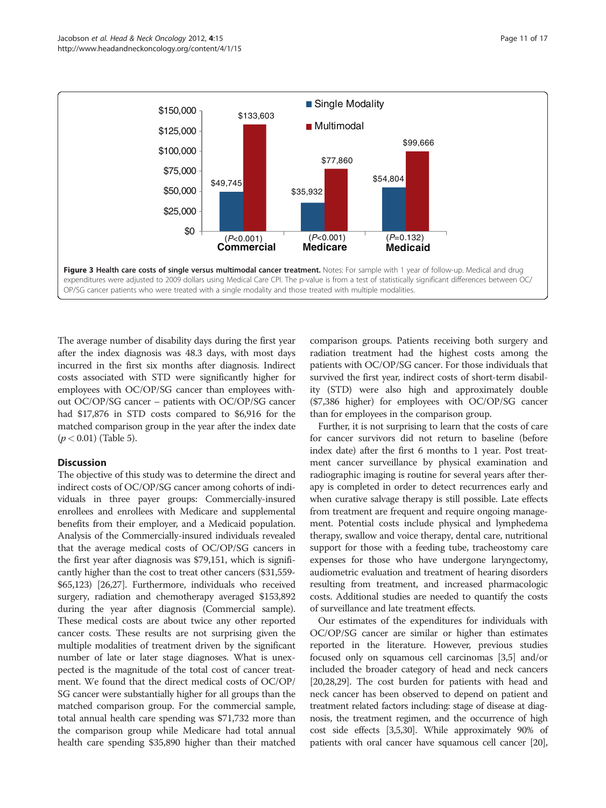<span id="page-10-0"></span>

The average number of disability days during the first year after the index diagnosis was 48.3 days, with most days incurred in the first six months after diagnosis. Indirect costs associated with STD were significantly higher for employees with OC/OP/SG cancer than employees without OC/OP/SG cancer – patients with OC/OP/SG cancer had \$17,876 in STD costs compared to \$6,916 for the matched comparison group in the year after the index date  $(p < 0.01)$  (Table [5\)](#page-14-0).

## **Discussion**

The objective of this study was to determine the direct and indirect costs of OC/OP/SG cancer among cohorts of individuals in three payer groups: Commercially-insured enrollees and enrollees with Medicare and supplemental benefits from their employer, and a Medicaid population. Analysis of the Commercially-insured individuals revealed that the average medical costs of OC/OP/SG cancers in the first year after diagnosis was \$79,151, which is significantly higher than the cost to treat other cancers (\$31,559- \$65,123) [[26,27\]](#page-16-0). Furthermore, individuals who received surgery, radiation and chemotherapy averaged \$153,892 during the year after diagnosis (Commercial sample). These medical costs are about twice any other reported cancer costs. These results are not surprising given the multiple modalities of treatment driven by the significant number of late or later stage diagnoses. What is unexpected is the magnitude of the total cost of cancer treatment. We found that the direct medical costs of OC/OP/ SG cancer were substantially higher for all groups than the matched comparison group. For the commercial sample, total annual health care spending was \$71,732 more than the comparison group while Medicare had total annual health care spending \$35,890 higher than their matched comparison groups. Patients receiving both surgery and radiation treatment had the highest costs among the patients with OC/OP/SG cancer. For those individuals that survived the first year, indirect costs of short-term disability (STD) were also high and approximately double (\$7,386 higher) for employees with OC/OP/SG cancer than for employees in the comparison group.

Further, it is not surprising to learn that the costs of care for cancer survivors did not return to baseline (before index date) after the first 6 months to 1 year. Post treatment cancer surveillance by physical examination and radiographic imaging is routine for several years after therapy is completed in order to detect recurrences early and when curative salvage therapy is still possible. Late effects from treatment are frequent and require ongoing management. Potential costs include physical and lymphedema therapy, swallow and voice therapy, dental care, nutritional support for those with a feeding tube, tracheostomy care expenses for those who have undergone laryngectomy, audiometric evaluation and treatment of hearing disorders resulting from treatment, and increased pharmacologic costs. Additional studies are needed to quantify the costs of surveillance and late treatment effects.

Our estimates of the expenditures for individuals with OC/OP/SG cancer are similar or higher than estimates reported in the literature. However, previous studies focused only on squamous cell carcinomas [\[3,5](#page-16-0)] and/or included the broader category of head and neck cancers [[20,28,29\]](#page-16-0). The cost burden for patients with head and neck cancer has been observed to depend on patient and treatment related factors including: stage of disease at diagnosis, the treatment regimen, and the occurrence of high cost side effects [[3,5,30](#page-16-0)]. While approximately 90% of patients with oral cancer have squamous cell cancer [\[20](#page-16-0)],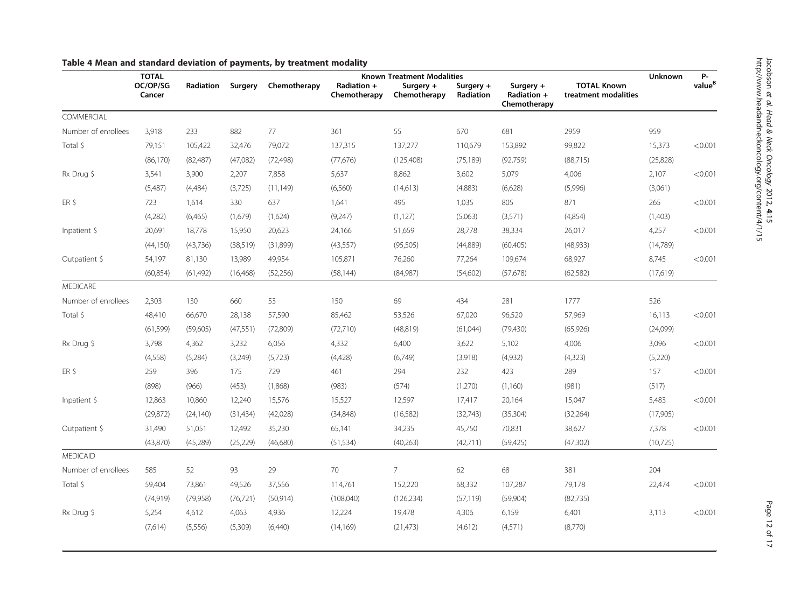|                         | <b>TOTAL</b>       |           |           |              | <b>Known Treatment Modalities</b> |                           |                        | <b>Unknown</b>                           | <b>P-</b>                                  |           |                    |
|-------------------------|--------------------|-----------|-----------|--------------|-----------------------------------|---------------------------|------------------------|------------------------------------------|--------------------------------------------|-----------|--------------------|
|                         | OC/OP/SG<br>Cancer | Radiation | Surgery   | Chemotherapy | Radiation +<br>Chemotherapy       | Surgery +<br>Chemotherapy | Surgery +<br>Radiation | Surgery +<br>Radiation +<br>Chemotherapy | <b>TOTAL Known</b><br>treatment modalities |           | value <sup>B</sup> |
| COMMERCIAL              |                    |           |           |              |                                   |                           |                        |                                          |                                            |           |                    |
| Number of enrollees     | 3,918              | 233       | 882       | 77           | 361                               | 55                        | 670                    | 681                                      | 2959                                       | 959       |                    |
| Total \$                | 79,151             | 105,422   | 32,476    | 79,072       | 137,315                           | 137,277                   | 110,679                | 153,892                                  | 99,822                                     | 15,373    | < 0.001            |
|                         | (86, 170)          | (82, 487) | (47,082)  | (72, 498)    | (77,676)                          | (125,408)                 | (75, 189)              | (92, 759)                                | (88, 715)                                  | (25,828)  |                    |
| Rx Drug \$              | 3,541              | 3,900     | 2,207     | 7,858        | 5,637                             | 8,862                     | 3,602                  | 5,079                                    | 4,006                                      | 2,107     | < 0.001            |
|                         | (5,487)            | (4,484)   | (3,725)   | (11, 149)    | (6,560)                           | (14,613)                  | (4,883)                | (6,628)                                  | (5,996)                                    | (3,061)   |                    |
| ER\$                    | 723                | 1,614     | 330       | 637          | 1,641                             | 495                       | 1,035                  | 805                                      | 871                                        | 265       | < 0.001            |
|                         | (4,282)            | (6,465)   | (1,679)   | (1,624)      | (9,247)                           | (1, 127)                  | (5,063)                | (3,571)                                  | (4,854)                                    | (1,403)   |                    |
| Inpatient $\frac{1}{2}$ | 20,691             | 18,778    | 15,950    | 20,623       | 24,166                            | 51,659                    | 28,778                 | 38,334                                   | 26,017                                     | 4,257     | < 0.001            |
|                         | (44, 150)          | (43,736)  | (38, 519) | (31,899)     | (43, 557)                         | (95, 505)                 | (44,889)               | (60, 405)                                | (48, 933)                                  | (14,789)  |                    |
| Outpatient \$           | 54,197             | 81,130    | 13,989    | 49,954       | 105,871                           | 76,260                    | 77,264                 | 109,674                                  | 68,927                                     | 8,745     | < 0.001            |
|                         | (60, 854)          | (61, 492) | (16, 468) | (52, 256)    | (58, 144)                         | (84,987)                  | (54, 602)              | (57,678)                                 | (62, 582)                                  | (17,619)  |                    |
| <b>MEDICARE</b>         |                    |           |           |              |                                   |                           |                        |                                          |                                            |           |                    |
| Number of enrollees     | 2,303              | 130       | 660       | 53           | 150                               | 69                        | 434                    | 281                                      | 1777                                       | 526       |                    |
| Total \$                | 48,410             | 66,670    | 28,138    | 57,590       | 85,462                            | 53,526                    | 67,020                 | 96,520                                   | 57,969                                     | 16,113    | < 0.001            |
|                         | (61, 599)          | (59,605)  | (47, 551) | (72,809)     | (72, 710)                         | (48, 819)                 | (61,044)               | (79, 430)                                | (65, 926)                                  | (24,099)  |                    |
| Rx Drug \$              | 3,798              | 4,362     | 3,232     | 6,056        | 4,332                             | 6,400                     | 3,622                  | 5,102                                    | 4,006                                      | 3,096     | < 0.001            |
|                         | (4,558)            | (5,284)   | (3,249)   | (5,723)      | (4,428)                           | (6,749)                   | (3,918)                | (4,932)                                  | (4,323)                                    | (5,220)   |                    |
| ER \$                   | 259                | 396       | 175       | 729          | 461                               | 294                       | 232                    | 423                                      | 289                                        | 157       | < 0.001            |
|                         | (898)              | (966)     | (453)     | (1,868)      | (983)                             | (574)                     | (1,270)                | (1,160)                                  | (981)                                      | (517)     |                    |
| Inpatient \$            | 12,863             | 10,860    | 12,240    | 15,576       | 15,527                            | 12,597                    | 17,417                 | 20,164                                   | 15,047                                     | 5,483     | < 0.001            |
|                         | (29, 872)          | (24, 140) | (31, 434) | (42,028)     | (34, 848)                         | (16, 582)                 | (32,743)               | (35, 304)                                | (32, 264)                                  | (17,905)  |                    |
| Outpatient \$           | 31,490             | 51,051    | 12,492    | 35,230       | 65,141                            | 34,235                    | 45,750                 | 70,831                                   | 38,627                                     | 7,378     | < 0.001            |
|                         | (43,870)           | (45,289)  | (25, 229) | (46,680)     | (51, 534)                         | (40, 263)                 | (42,711)               | (59, 425)                                | (47, 302)                                  | (10, 725) |                    |
| <b>MEDICAID</b>         |                    |           |           |              |                                   |                           |                        |                                          |                                            |           |                    |
| Number of enrollees     | 585                | 52        | 93        | 29           | 70                                | $\overline{7}$            | 62                     | 68                                       | 381                                        | 204       |                    |
| Total \$                | 59,404             | 73,861    | 49,526    | 37,556       | 114,761                           | 152,220                   | 68,332                 | 107,287                                  | 79,178                                     | 22,474    | < 0.001            |
|                         | (74, 919)          | (79, 958) | (76, 721) | (50, 914)    | (108,040)                         | (126, 234)                | (57, 119)              | (59,904)                                 | (82, 735)                                  |           |                    |
| $Rx$ Drug \$            | 5,254              | 4,612     | 4,063     | 4,936        | 12,224                            | 19,478                    | 4,306                  | 6,159                                    | 6,401                                      | 3,113     | < 0.001            |
|                         | (7,614)            | (5,556)   | (5,309)   | (6,440)      | (14, 169)                         | (21, 473)                 | (4,612)                | (4,571)                                  | (8,770)                                    |           |                    |

## <span id="page-11-0"></span>Table <sup>4</sup> Mean and standard deviation of payments, by treatment modality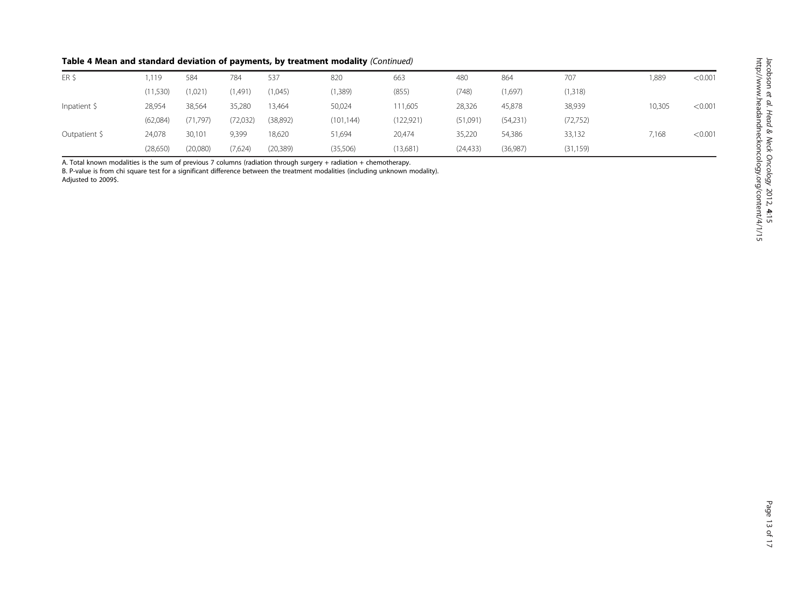## Table 4 Mean and standard deviation of payments, by treatment modality (Continued)

| ER \$         | 1.119     | 584       | 784      | 537       | 820        | 663        | 480       | 864       | 707       | 1,889  | < 0.001 |
|---------------|-----------|-----------|----------|-----------|------------|------------|-----------|-----------|-----------|--------|---------|
|               | (11,530)  | (1,021)   | (1,491)  | (1,045)   | (1,389)    | (855)      | (748)     | (1,697)   | (1,318)   |        |         |
| Inpatient \$  | 28,954    | 38,564    | 35,280   | 13,464    | 50,024     | 111,605    | 28,326    | 45,878    | 38,939    | 10,305 | < 0.001 |
|               | (62,084)  | (71, 797) | (72,032) | (38, 892) | (101, 144) | (122, 921) | (51,091)  | (54, 231) | (72, 752) |        |         |
| Outpatient \$ | 24,078    | 30,101    | 9,399    | 18,620    | 51,694     | 20,474     | 35,220    | 54,386    | 33,132    | 7,168  | < 0.001 |
|               | (28, 650) | (20,080)  | (7,624)  | (20, 389) | (35,506)   | (13,681)   | (24, 433) | (36,987)  | (31, 159) |        |         |

A. Total known modalities is the sum of previous <sup>7</sup> columns (radiation through surgery <sup>+</sup> radiation <sup>+</sup> chemotherapy.

B. P-value is from chi square test for <sup>a</sup> significant difference between the treatment modalities (including unknown modality).

Adjusted to 2009\$.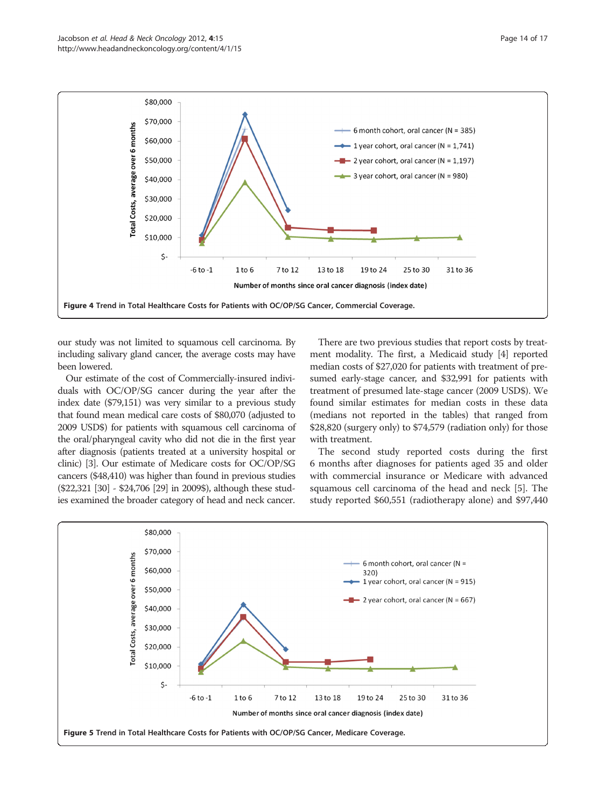<span id="page-13-0"></span>

our study was not limited to squamous cell carcinoma. By including salivary gland cancer, the average costs may have been lowered.

Our estimate of the cost of Commercially-insured individuals with OC/OP/SG cancer during the year after the index date (\$79,151) was very similar to a previous study that found mean medical care costs of \$80,070 (adjusted to 2009 USD\$) for patients with squamous cell carcinoma of the oral/pharyngeal cavity who did not die in the first year after diagnosis (patients treated at a university hospital or clinic) [\[3\]](#page-16-0). Our estimate of Medicare costs for OC/OP/SG cancers (\$48,410) was higher than found in previous studies (\$22,321 [[30](#page-16-0)] - \$24,706 [\[29\]](#page-16-0) in 2009\$), although these studies examined the broader category of head and neck cancer.

There are two previous studies that report costs by treatment modality. The first, a Medicaid study [\[4](#page-16-0)] reported median costs of \$27,020 for patients with treatment of presumed early-stage cancer, and \$32,991 for patients with treatment of presumed late-stage cancer (2009 USD\$). We found similar estimates for median costs in these data (medians not reported in the tables) that ranged from \$28,820 (surgery only) to \$74,579 (radiation only) for those with treatment.

The second study reported costs during the first 6 months after diagnoses for patients aged 35 and older with commercial insurance or Medicare with advanced squamous cell carcinoma of the head and neck [[5\]](#page-16-0). The study reported \$60,551 (radiotherapy alone) and \$97,440

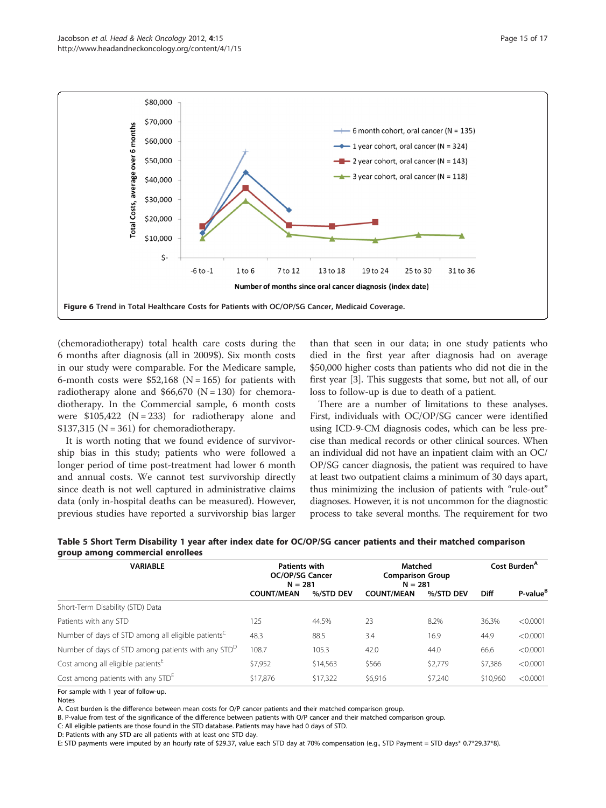<span id="page-14-0"></span>

(chemoradiotherapy) total health care costs during the 6 months after diagnosis (all in 2009\$). Six month costs in our study were comparable. For the Medicare sample, 6-month costs were  $$52,168$  (N = 165) for patients with radiotherapy alone and  $$66,670$  (N = 130) for chemoradiotherapy. In the Commercial sample, 6 month costs were  $$105,422$  (N = 233) for radiotherapy alone and  $$137,315$  (N = 361) for chemoradiotherapy.

It is worth noting that we found evidence of survivorship bias in this study; patients who were followed a longer period of time post-treatment had lower 6 month and annual costs. We cannot test survivorship directly since death is not well captured in administrative claims data (only in-hospital deaths can be measured). However, previous studies have reported a survivorship bias larger

than that seen in our data; in one study patients who died in the first year after diagnosis had on average \$50,000 higher costs than patients who did not die in the first year [\[3](#page-16-0)]. This suggests that some, but not all, of our loss to follow-up is due to death of a patient.

There are a number of limitations to these analyses. First, individuals with OC/OP/SG cancer were identified using ICD-9-CM diagnosis codes, which can be less precise than medical records or other clinical sources. When an individual did not have an inpatient claim with an OC/ OP/SG cancer diagnosis, the patient was required to have at least two outpatient claims a minimum of 30 days apart, thus minimizing the inclusion of patients with "rule-out" diagnoses. However, it is not uncommon for the diagnostic process to take several months. The requirement for two

| <b><i>VARIABLE</i></b>                                         | Patients with<br>OC/OP/SG Cancer<br>$N = 281$ |           | Matched<br><b>Comparison Group</b><br>$N = 281$ | Cost Burden <sup>A</sup> |             |                      |
|----------------------------------------------------------------|-----------------------------------------------|-----------|-------------------------------------------------|--------------------------|-------------|----------------------|
|                                                                | <b>COUNT/MEAN</b>                             | %/STD DEV | <b>COUNT/MEAN</b>                               | %/STD DEV                | <b>Diff</b> | P-value <sup>B</sup> |
| Short-Term Disability (STD) Data                               |                                               |           |                                                 |                          |             |                      |
| Patients with any STD                                          | 125                                           | 44.5%     | 23                                              | 8.2%                     | 36.3%       | < 0.0001             |
| Number of days of STD among all eligible patients <sup>C</sup> | 48.3                                          | 88.5      | 3.4                                             | 16.9                     | 44.9        | < 0.0001             |
| Number of days of STD among patients with any STD <sup>D</sup> | 108.7                                         | 105.3     | 42.0                                            | 44.0                     | 66.6        | < 0.0001             |
| Cost among all eligible patients <sup>t</sup>                  | \$7,952                                       | \$14,563  | \$566                                           | \$2,779                  | \$7,386     | < 0.0001             |
| Cost among patients with any $STDE$                            | \$17,876                                      | \$17,322  | \$6,916                                         | \$7,240                  | \$10,960    | < 0.0001             |

| Table 5 Short Term Disability 1 year after index date for OC/OP/SG cancer patients and their matched comparison |  |
|-----------------------------------------------------------------------------------------------------------------|--|
| group among commercial enrollees                                                                                |  |

For sample with 1 year of follow-up.

A. Cost burden is the difference between mean costs for O/P cancer patients and their matched comparison group.

B. P-value from test of the significance of the difference between patients with O/P cancer and their matched comparison group.

C: All eligible patients are those found in the STD database. Patients may have had 0 days of STD.

D: Patients with any STD are all patients with at least one STD day.

E: STD payments were imputed by an hourly rate of \$29.37, value each STD day at 70% compensation (e.g., STD Payment = STD days\* 0.7\*29.37\*8).

Notes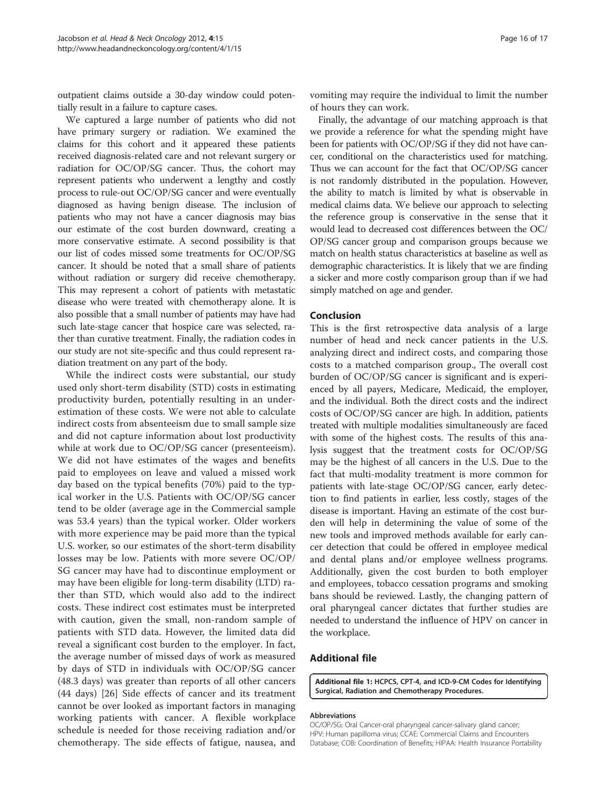<span id="page-15-0"></span>outpatient claims outside a 30-day window could potentially result in a failure to capture cases.

We captured a large number of patients who did not have primary surgery or radiation. We examined the claims for this cohort and it appeared these patients received diagnosis-related care and not relevant surgery or radiation for OC/OP/SG cancer. Thus, the cohort may represent patients who underwent a lengthy and costly process to rule-out OC/OP/SG cancer and were eventually diagnosed as having benign disease. The inclusion of patients who may not have a cancer diagnosis may bias our estimate of the cost burden downward, creating a more conservative estimate. A second possibility is that our list of codes missed some treatments for OC/OP/SG cancer. It should be noted that a small share of patients without radiation or surgery did receive chemotherapy. This may represent a cohort of patients with metastatic disease who were treated with chemotherapy alone. It is also possible that a small number of patients may have had such late-stage cancer that hospice care was selected, rather than curative treatment. Finally, the radiation codes in our study are not site-specific and thus could represent radiation treatment on any part of the body.

While the indirect costs were substantial, our study used only short-term disability (STD) costs in estimating productivity burden, potentially resulting in an underestimation of these costs. We were not able to calculate indirect costs from absenteeism due to small sample size and did not capture information about lost productivity while at work due to OC/OP/SG cancer (presenteeism). We did not have estimates of the wages and benefits paid to employees on leave and valued a missed work day based on the typical benefits (70%) paid to the typical worker in the U.S. Patients with OC/OP/SG cancer tend to be older (average age in the Commercial sample was 53.4 years) than the typical worker. Older workers with more experience may be paid more than the typical U.S. worker, so our estimates of the short-term disability losses may be low. Patients with more severe OC/OP/ SG cancer may have had to discontinue employment or may have been eligible for long-term disability (LTD) rather than STD, which would also add to the indirect costs. These indirect cost estimates must be interpreted with caution, given the small, non-random sample of patients with STD data. However, the limited data did reveal a significant cost burden to the employer. In fact, the average number of missed days of work as measured by days of STD in individuals with OC/OP/SG cancer (48.3 days) was greater than reports of all other cancers (44 days) [[26\]](#page-16-0) Side effects of cancer and its treatment cannot be over looked as important factors in managing working patients with cancer. A flexible workplace schedule is needed for those receiving radiation and/or chemotherapy. The side effects of fatigue, nausea, and

vomiting may require the individual to limit the number of hours they can work.

Finally, the advantage of our matching approach is that we provide a reference for what the spending might have been for patients with OC/OP/SG if they did not have cancer, conditional on the characteristics used for matching. Thus we can account for the fact that OC/OP/SG cancer is not randomly distributed in the population. However, the ability to match is limited by what is observable in medical claims data. We believe our approach to selecting the reference group is conservative in the sense that it would lead to decreased cost differences between the OC/ OP/SG cancer group and comparison groups because we match on health status characteristics at baseline as well as demographic characteristics. It is likely that we are finding a sicker and more costly comparison group than if we had simply matched on age and gender.

## Conclusion

This is the first retrospective data analysis of a large number of head and neck cancer patients in the U.S. analyzing direct and indirect costs, and comparing those costs to a matched comparison group., The overall cost burden of OC/OP/SG cancer is significant and is experienced by all payers, Medicare, Medicaid, the employer, and the individual. Both the direct costs and the indirect costs of OC/OP/SG cancer are high. In addition, patients treated with multiple modalities simultaneously are faced with some of the highest costs. The results of this analysis suggest that the treatment costs for OC/OP/SG may be the highest of all cancers in the U.S. Due to the fact that multi-modality treatment is more common for patients with late-stage OC/OP/SG cancer, early detection to find patients in earlier, less costly, stages of the disease is important. Having an estimate of the cost burden will help in determining the value of some of the new tools and improved methods available for early cancer detection that could be offered in employee medical and dental plans and/or employee wellness programs. Additionally, given the cost burden to both employer and employees, tobacco cessation programs and smoking bans should be reviewed. Lastly, the changing pattern of oral pharyngeal cancer dictates that further studies are needed to understand the influence of HPV on cancer in the workplace.

## Additional file

[Additional file 1](http://www.biomedcentral.com/content/supplementary/1758-3284-4-15-S1.doc): HCPCS, CPT-4, and ICD-9-CM Codes for Identifying Surgical, Radiation and Chemotherapy Procedures.

## Abbreviations

OC/OP/SG: Oral Cancer-oral pharyngeal cancer-salivary gland cancer; HPV: Human papilloma virus; CCAE: Commercial Claims and Encounters Database; COB: Coordination of Benefits; HIPAA: Health Insurance Portability